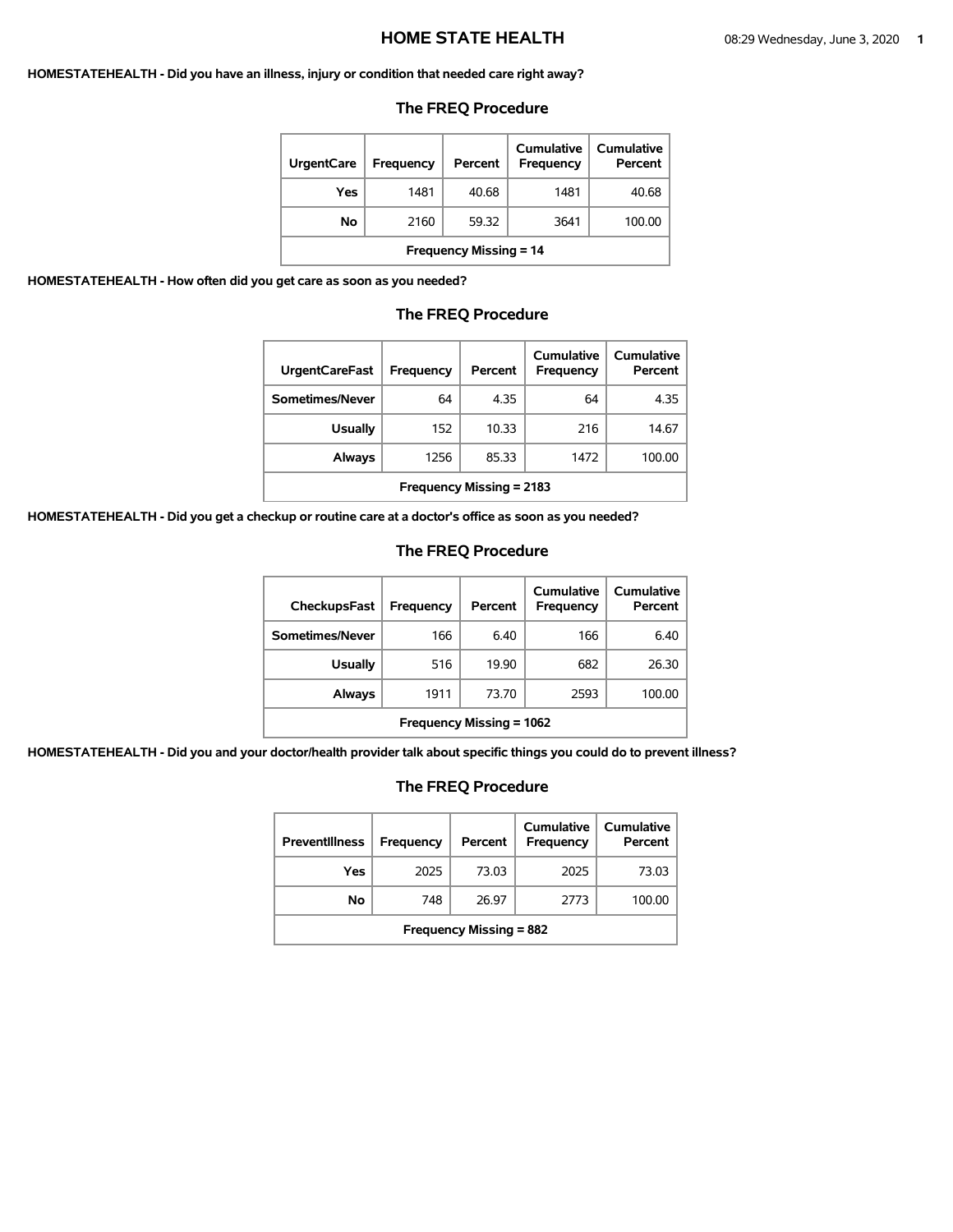#### **HOMESTATEHEALTH - Did you have an illness, injury or condition that needed care right away?**

#### **The FREQ Procedure**

| <b>UrgentCare</b>             | Frequency | Percent | Cumulative<br>Frequency | Cumulative<br>Percent |  |
|-------------------------------|-----------|---------|-------------------------|-----------------------|--|
| Yes                           | 1481      | 40.68   | 1481                    | 40.68                 |  |
| No                            | 2160      | 59.32   | 3641                    | 100.00                |  |
| <b>Frequency Missing = 14</b> |           |         |                         |                       |  |

**HOMESTATEHEALTH - How often did you get care as soon as you needed?** 

ı

# **The FREQ Procedure**

| <b>UrgentCareFast</b>           | Frequency | Percent | Cumulative<br><b>Frequency</b> | Cumulative<br>Percent |
|---------------------------------|-----------|---------|--------------------------------|-----------------------|
| Sometimes/Never                 | 64        | 4.35    | 64                             | 4.35                  |
| <b>Usually</b>                  | 152       | 10.33   | 216                            | 14.67                 |
| Always                          | 1256      | 85.33   | 1472                           | 100.00                |
| <b>Frequency Missing = 2183</b> |           |         |                                |                       |

**HOMESTATEHEALTH - Did you get a checkup or routine care at a doctor's office as soon as you needed?** 

### **The FREQ Procedure**

| CheckupsFast             | Frequency | Percent | Cumulative<br>Frequency | Cumulative<br>Percent |
|--------------------------|-----------|---------|-------------------------|-----------------------|
| Sometimes/Never          | 166       | 6.40    | 166                     | 6.40                  |
| <b>Usually</b>           | 516       | 19.90   | 682                     | 26.30                 |
| Always                   | 1911      | 73.70   | 2593                    | 100.00                |
| Frequency Missing = 1062 |           |         |                         |                       |

**HOMESTATEHEALTH - Did you and your doctor/health provider talk about specific things you could do to prevent illness?** 

| <b>Preventillness</b>          | <b>Frequency</b> | Percent | Cumulative<br><b>Frequency</b> | Cumulative<br>Percent |  |
|--------------------------------|------------------|---------|--------------------------------|-----------------------|--|
| Yes                            | 2025             | 73.03   | 2025                           | 73.03                 |  |
| No                             | 748              | 26.97   | 2773                           | 100.00                |  |
| <b>Frequency Missing = 882</b> |                  |         |                                |                       |  |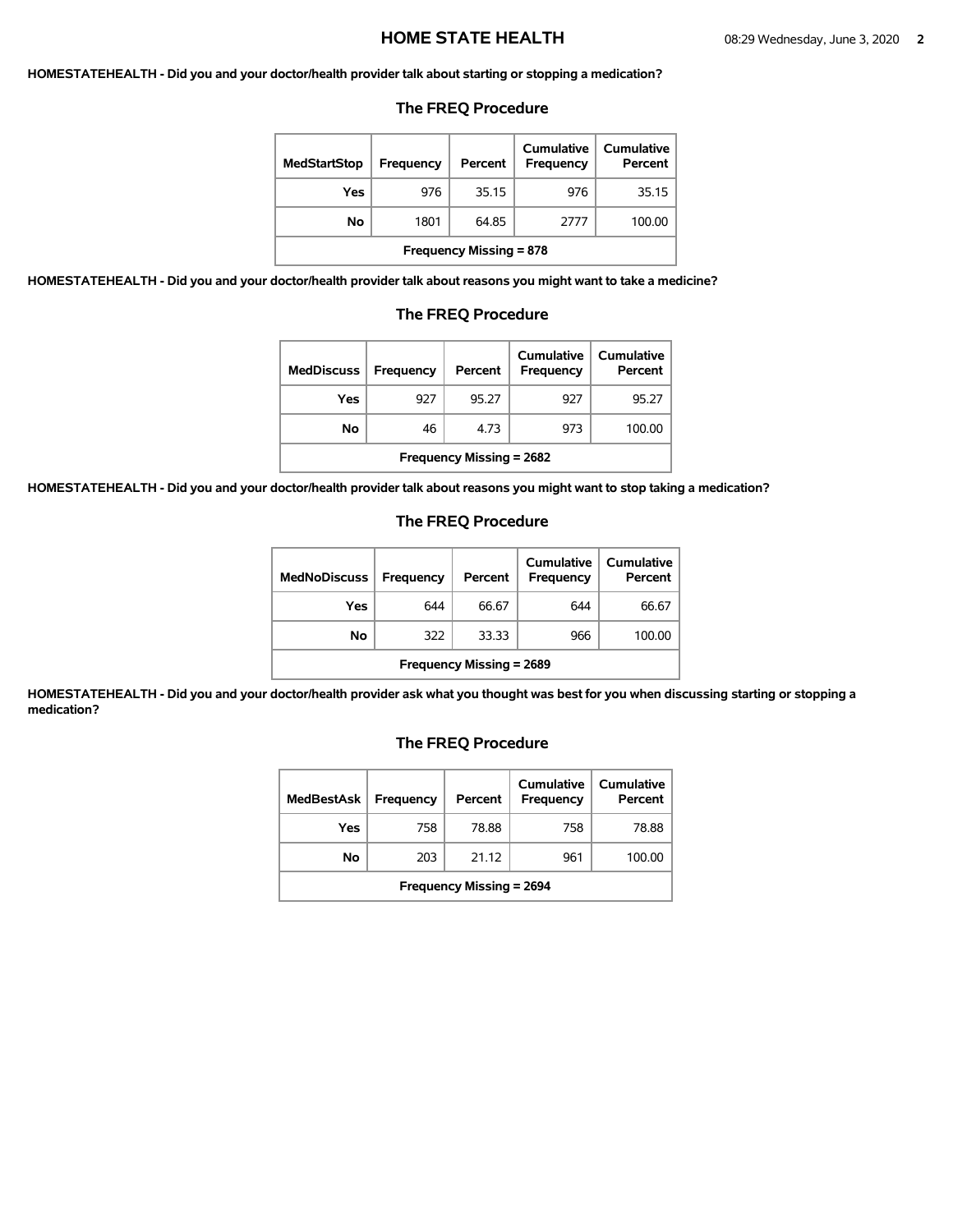#### **HOMESTATEHEALTH - Did you and your doctor/health provider talk about starting or stopping a medication?**

#### **The FREQ Procedure**

| <b>MedStartStop</b>            | Frequency | Percent | Cumulative<br>Frequency | Cumulative<br>Percent |
|--------------------------------|-----------|---------|-------------------------|-----------------------|
| Yes                            | 976       | 35.15   | 976                     | 35.15                 |
| No                             | 1801      | 64.85   | 2777                    | 100.00                |
| <b>Frequency Missing = 878</b> |           |         |                         |                       |

**HOMESTATEHEALTH - Did you and your doctor/health provider talk about reasons you might want to take a medicine?** 

#### **The FREQ Procedure**

| <b>MedDiscuss</b>               | Frequency | Percent | Cumulative<br>Frequency | Cumulative<br>Percent |  |
|---------------------------------|-----------|---------|-------------------------|-----------------------|--|
| Yes                             | 927       | 95.27   | 927                     | 95.27                 |  |
| No                              | 46        | 4.73    | 973                     | 100.00                |  |
| <b>Frequency Missing = 2682</b> |           |         |                         |                       |  |

**HOMESTATEHEALTH - Did you and your doctor/health provider talk about reasons you might want to stop taking a medication?** 

#### **The FREQ Procedure**

| <b>MedNoDiscuss</b>             | <b>Frequency</b> | Percent | Cumulative<br>Frequency | <b>Cumulative</b><br>Percent |
|---------------------------------|------------------|---------|-------------------------|------------------------------|
| Yes                             | 644              | 66.67   | 644                     | 66.67                        |
| No                              | 322              | 33.33   | 966                     | 100.00                       |
| <b>Frequency Missing = 2689</b> |                  |         |                         |                              |

**HOMESTATEHEALTH - Did you and your doctor/health provider ask what you thought was best for you when discussing starting or stopping a medication?** 

| <b>MedBestAsk</b>               | <b>Frequency</b> | Percent | <b>Cumulative</b><br><b>Frequency</b> | Cumulative<br>Percent |
|---------------------------------|------------------|---------|---------------------------------------|-----------------------|
| Yes                             | 758              | 78.88   | 758                                   | 78.88                 |
| No                              | 203              | 21.12   | 961                                   | 100.00                |
| <b>Frequency Missing = 2694</b> |                  |         |                                       |                       |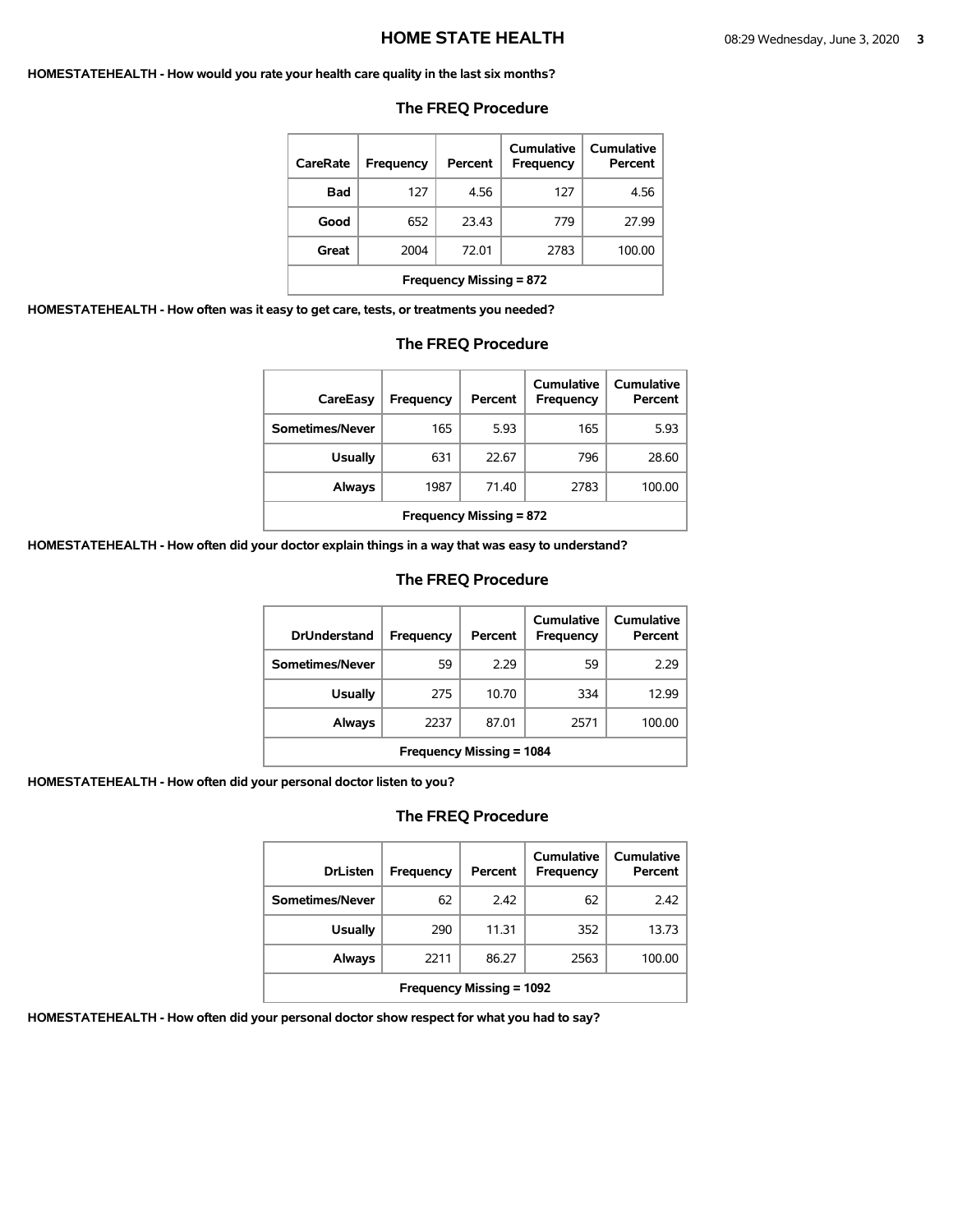#### **HOMESTATEHEALTH - How would you rate your health care quality in the last six months?**

| CareRate                       | Frequency | Percent | Cumulative<br>Frequency | Cumulative<br>Percent |  |
|--------------------------------|-----------|---------|-------------------------|-----------------------|--|
| Bad                            | 127       | 4.56    | 127                     | 4.56                  |  |
| Good                           | 652       | 23.43   | 779                     | 27.99                 |  |
| Great                          | 2004      | 72.01   | 2783                    | 100.00                |  |
| <b>Frequency Missing = 872</b> |           |         |                         |                       |  |

#### **The FREQ Procedure**

**HOMESTATEHEALTH - How often was it easy to get care, tests, or treatments you needed?** 

### **The FREQ Procedure**

| CareEasy                       | Frequency | Percent | Cumulative<br>Frequency | <b>Cumulative</b><br>Percent |
|--------------------------------|-----------|---------|-------------------------|------------------------------|
| Sometimes/Never                | 165       | 5.93    | 165                     | 5.93                         |
| <b>Usually</b>                 | 631       | 22.67   | 796                     | 28.60                        |
| Always                         | 1987      | 71.40   | 2783                    | 100.00                       |
| <b>Frequency Missing = 872</b> |           |         |                         |                              |

**HOMESTATEHEALTH - How often did your doctor explain things in a way that was easy to understand?** 

### **The FREQ Procedure**

| <b>DrUnderstand</b>             | Frequency | Percent | Cumulative<br>Frequency | Cumulative<br>Percent |  |
|---------------------------------|-----------|---------|-------------------------|-----------------------|--|
| Sometimes/Never                 | 59        | 2.29    | 59                      | 2.29                  |  |
| <b>Usually</b>                  | 275       | 10.70   | 334                     | 12.99                 |  |
| Always                          | 2237      | 87.01   | 2571                    | 100.00                |  |
| <b>Frequency Missing = 1084</b> |           |         |                         |                       |  |

**HOMESTATEHEALTH - How often did your personal doctor listen to you?** 

## **The FREQ Procedure**

| <b>DrListen</b>                 | Frequency | Percent | Cumulative<br>Frequency | Cumulative<br>Percent |
|---------------------------------|-----------|---------|-------------------------|-----------------------|
| Sometimes/Never                 | 62        | 2.42    | 62                      | 2.42                  |
| <b>Usually</b>                  | 290       | 11.31   | 352                     | 13.73                 |
| Always                          | 2211      | 86.27   | 2563                    | 100.00                |
| <b>Frequency Missing = 1092</b> |           |         |                         |                       |

**HOMESTATEHEALTH - How often did your personal doctor show respect for what you had to say?**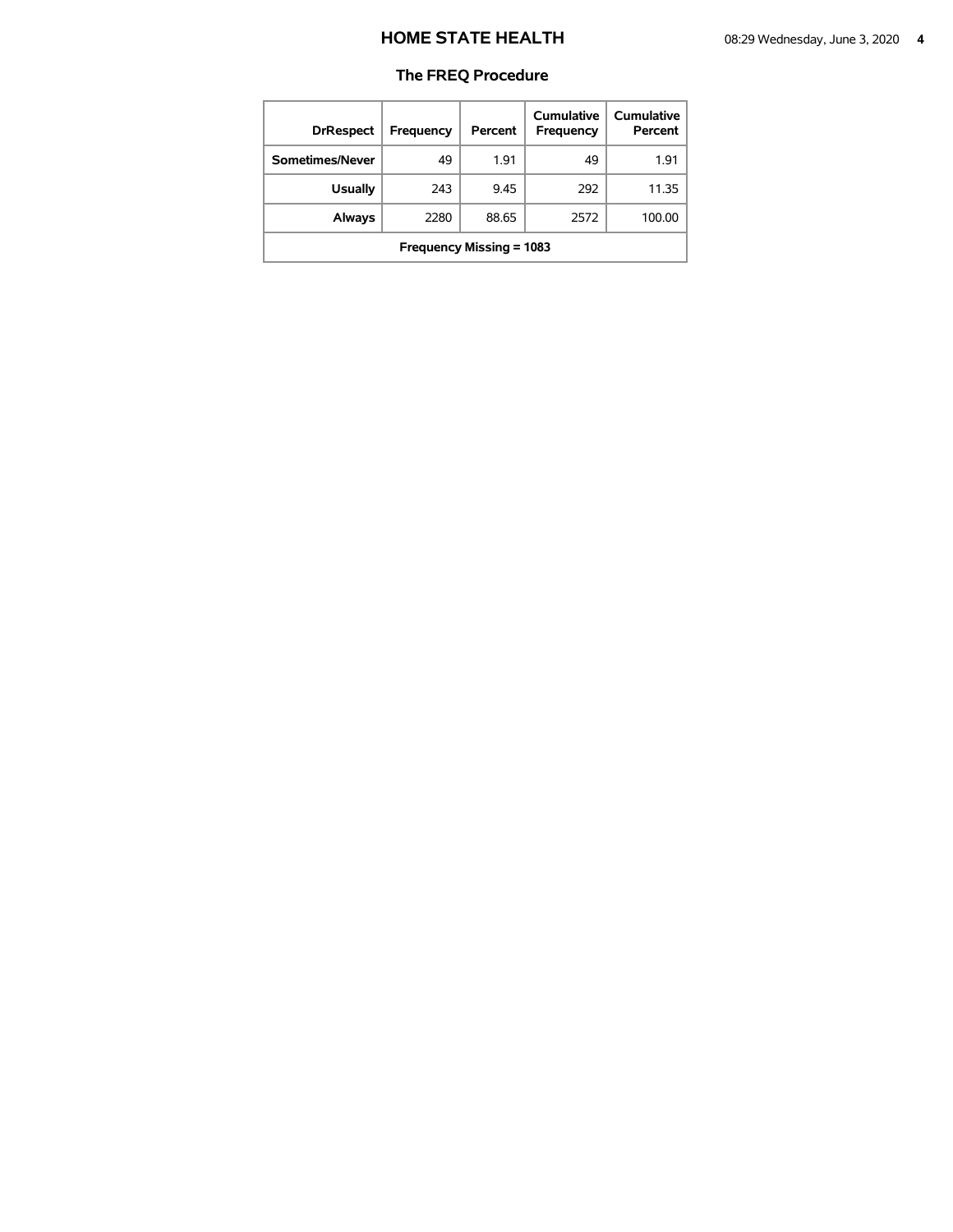| <b>DrRespect</b>         | <b>Frequency</b> | Percent | Cumulative<br>Frequency | Cumulative<br>Percent |  |
|--------------------------|------------------|---------|-------------------------|-----------------------|--|
| Sometimes/Never          | 49               | 1.91    | 49                      | 1.91                  |  |
| <b>Usually</b>           | 243              | 9.45    | 292                     | 11.35                 |  |
| <b>Always</b>            | 2280             | 88.65   | 2572                    | 100.00                |  |
| Frequency Missing = 1083 |                  |         |                         |                       |  |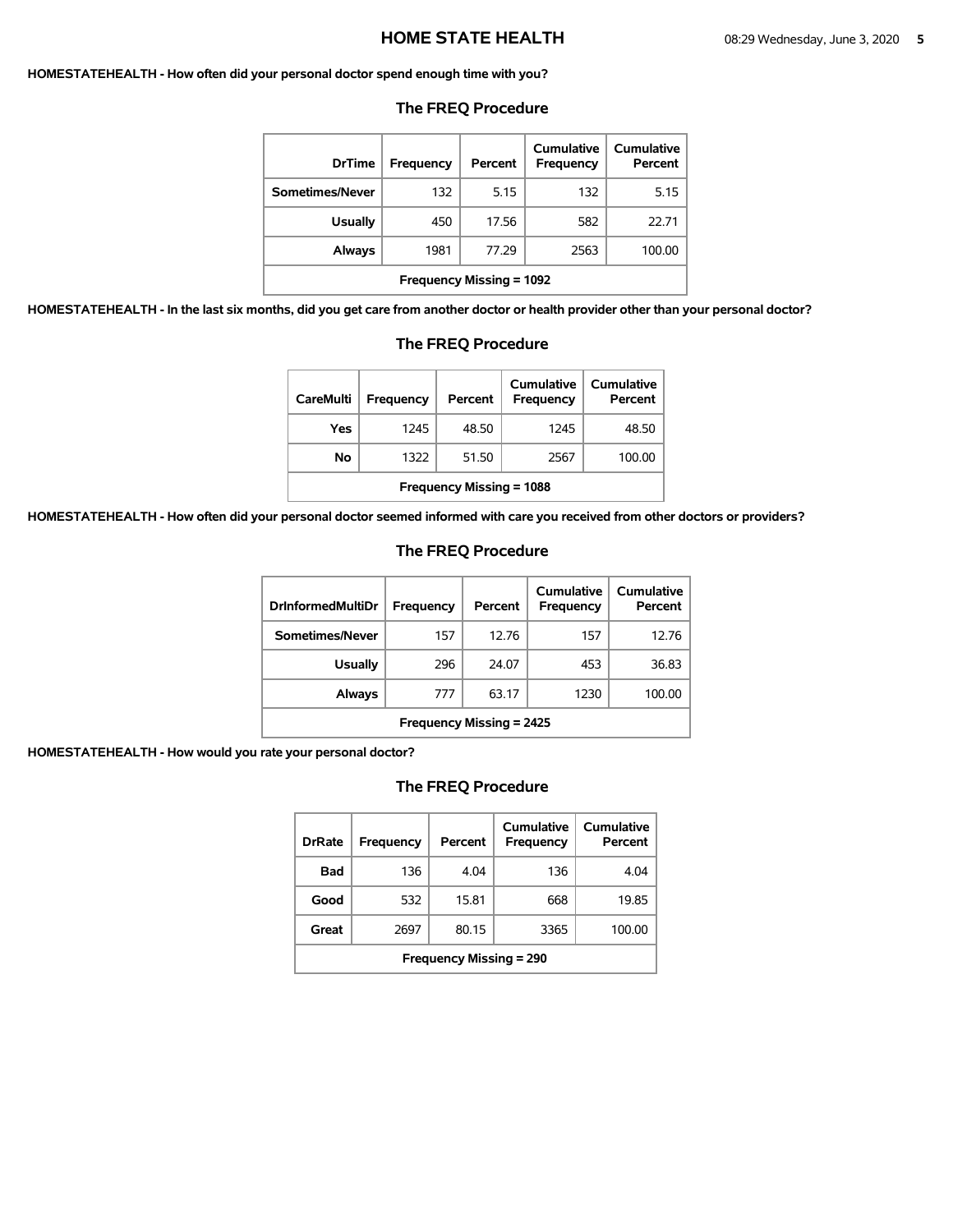#### **HOMESTATEHEALTH - How often did your personal doctor spend enough time with you?**

| <b>DrTime</b>                   | Frequency | Percent | Cumulative<br>Frequency | Cumulative<br>Percent |  |
|---------------------------------|-----------|---------|-------------------------|-----------------------|--|
| Sometimes/Never                 | 132       | 5.15    | 132                     | 5.15                  |  |
| <b>Usually</b>                  | 450       | 17.56   | 582                     | 22.71                 |  |
| <b>Always</b>                   | 1981      | 77.29   | 2563                    | 100.00                |  |
| <b>Frequency Missing = 1092</b> |           |         |                         |                       |  |

#### **The FREQ Procedure**

**HOMESTATEHEALTH - In the last six months, did you get care from another doctor or health provider other than your personal doctor?** 

| <b>CareMulti</b>                | Frequency | Percent | Cumulative<br>Frequency | Cumulative<br>Percent |  |
|---------------------------------|-----------|---------|-------------------------|-----------------------|--|
| Yes                             | 1245      | 48.50   | 1245                    | 48.50                 |  |
| No                              | 1322      | 51.50   | 2567                    | 100.00                |  |
| <b>Frequency Missing = 1088</b> |           |         |                         |                       |  |

# **The FREQ Procedure**

**HOMESTATEHEALTH - How often did your personal doctor seemed informed with care you received from other doctors or providers?** 

### **The FREQ Procedure**

| <b>DrInformedMultiDr</b>        | Frequency | Percent | Cumulative<br><b>Frequency</b> | <b>Cumulative</b><br>Percent |  |
|---------------------------------|-----------|---------|--------------------------------|------------------------------|--|
| Sometimes/Never                 | 157       | 12.76   | 157                            | 12.76                        |  |
| Usually                         | 296       | 24.07   | 453                            | 36.83                        |  |
| Always                          | 777       | 63.17   | 1230                           | 100.00                       |  |
| <b>Frequency Missing = 2425</b> |           |         |                                |                              |  |

**HOMESTATEHEALTH - How would you rate your personal doctor?** 

| <b>DrRate</b>                  | Frequency | Percent | Cumulative<br>Frequency | Cumulative<br>Percent |  |
|--------------------------------|-----------|---------|-------------------------|-----------------------|--|
| Bad                            | 136       | 4.04    | 136                     | 4.04                  |  |
| Good                           | 532       | 15.81   | 668                     | 19.85                 |  |
| Great                          | 2697      | 80.15   | 3365                    | 100.00                |  |
| <b>Frequency Missing = 290</b> |           |         |                         |                       |  |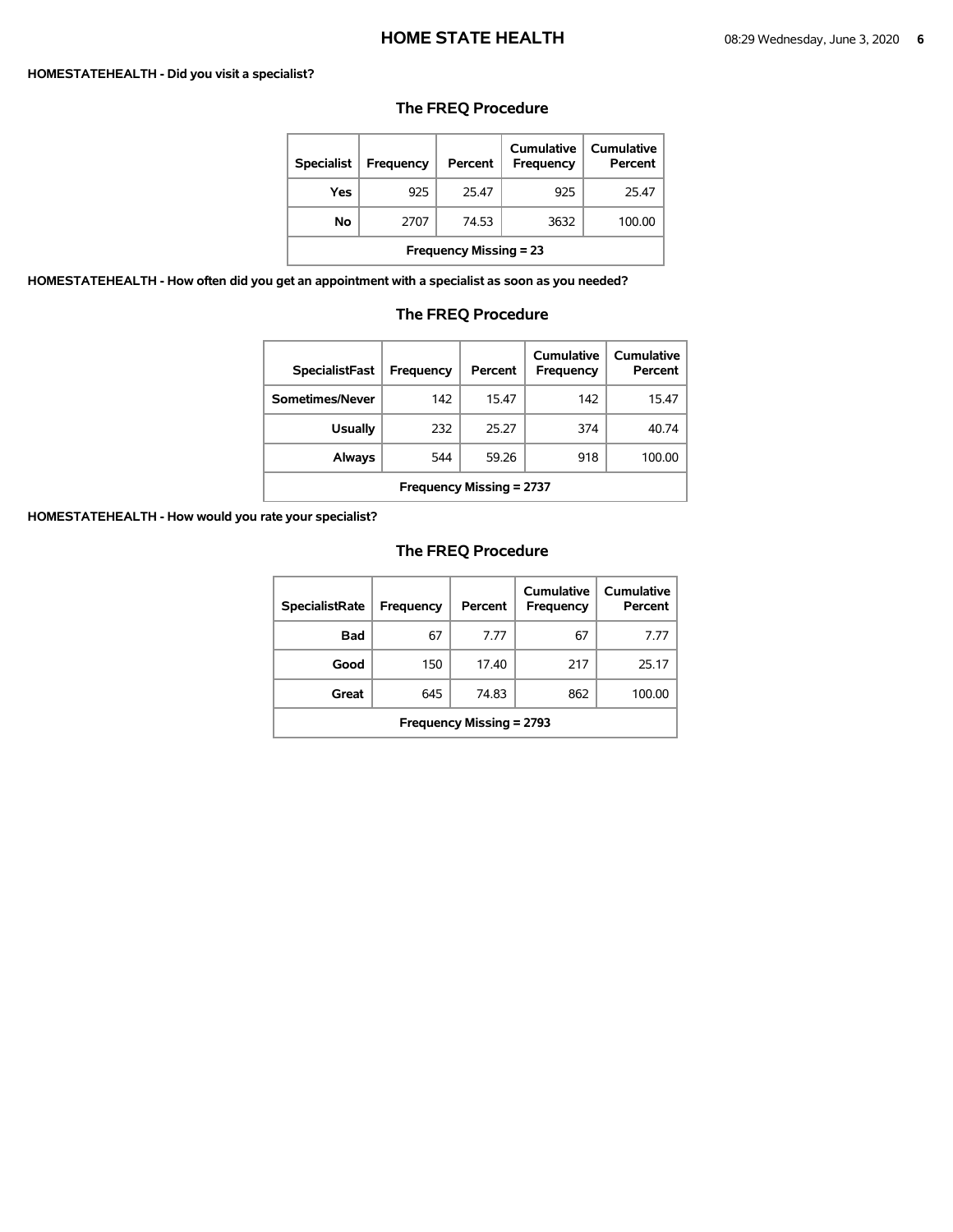#### **HOMESTATEHEALTH - Did you visit a specialist?**

# **The FREQ Procedure**

| <b>Specialist</b>             | Frequency | Percent | Cumulative<br><b>Frequency</b> | Cumulative<br>Percent |  |
|-------------------------------|-----------|---------|--------------------------------|-----------------------|--|
| Yes                           | 925       | 25.47   | 925                            | 25.47                 |  |
| No                            | 2707      | 74.53   | 3632                           | 100.00                |  |
| <b>Frequency Missing = 23</b> |           |         |                                |                       |  |

**HOMESTATEHEALTH - How often did you get an appointment with a specialist as soon as you needed?** 

# **The FREQ Procedure**

| <b>SpecialistFast</b>           | Frequency | Percent | Cumulative<br>Frequency | Cumulative<br>Percent |  |
|---------------------------------|-----------|---------|-------------------------|-----------------------|--|
| Sometimes/Never                 | 142       | 15.47   | 142                     | 15.47                 |  |
| <b>Usually</b>                  | 232       | 25.27   | 374                     | 40.74                 |  |
| Always                          | 544       | 59.26   | 918                     | 100.00                |  |
| <b>Frequency Missing = 2737</b> |           |         |                         |                       |  |

**HOMESTATEHEALTH - How would you rate your specialist?** 

| <b>SpecialistRate</b>    | Frequency | Percent | Cumulative<br><b>Frequency</b> | Cumulative<br>Percent |  |
|--------------------------|-----------|---------|--------------------------------|-----------------------|--|
| <b>Bad</b>               | 67        | 7.77    | 67                             | 7 77                  |  |
| Good                     | 150       | 17.40   | 217                            | 25.17                 |  |
| Great                    | 645       | 74.83   | 862                            | 100.00                |  |
| Frequency Missing = 2793 |           |         |                                |                       |  |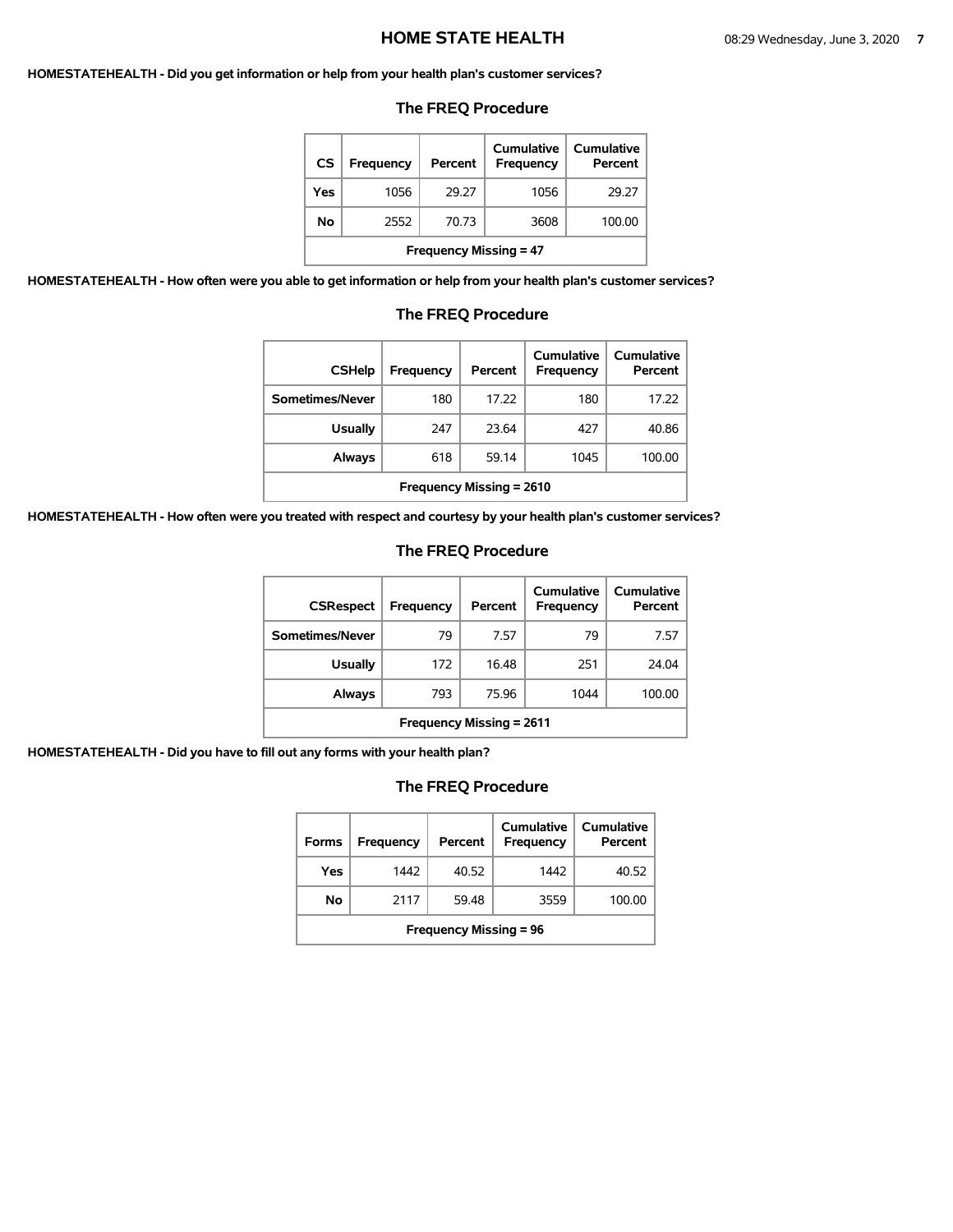#### **HOMESTATEHEALTH - Did you get information or help from your health plan's customer services?**

#### **The FREQ Procedure**

| CS                            | <b>Frequency</b> | Percent | Cumulative<br><b>Frequency</b> | Cumulative<br>Percent |  |  |
|-------------------------------|------------------|---------|--------------------------------|-----------------------|--|--|
| Yes                           | 1056             | 29.27   | 1056                           | 29.27                 |  |  |
| No.                           | 2552             | 70.73   | 3608                           | 100.00                |  |  |
| <b>Frequency Missing = 47</b> |                  |         |                                |                       |  |  |

**HOMESTATEHEALTH - How often were you able to get information or help from your health plan's customer services?** 

#### **The FREQ Procedure**   $\overline{\phantom{a}}$  $\overline{1}$

| <b>CSHelp</b>                   | Frequency | Percent | Cumulative<br>Frequency | Cumulative<br>Percent |  |
|---------------------------------|-----------|---------|-------------------------|-----------------------|--|
| Sometimes/Never                 | 180       | 17.22   | 180                     | 17.22                 |  |
| <b>Usually</b>                  | 247       | 23.64   | 427                     | 40.86                 |  |
| Always                          | 618       | 59.14   | 1045                    | 100.00                |  |
| <b>Frequency Missing = 2610</b> |           |         |                         |                       |  |

**HOMESTATEHEALTH - How often were you treated with respect and courtesy by your health plan's customer services?** 

# **The FREQ Procedure**

| <b>CSRespect</b>                | <b>Frequency</b> | Percent | Cumulative<br>Frequency | Cumulative<br>Percent |  |
|---------------------------------|------------------|---------|-------------------------|-----------------------|--|
| Sometimes/Never                 | 79               | 7.57    | 79                      | 7.57                  |  |
| <b>Usually</b>                  | 172              | 16.48   | 251                     | 24.04                 |  |
| Always                          | 793              | 75.96   | 1044                    | 100.00                |  |
| <b>Frequency Missing = 2611</b> |                  |         |                         |                       |  |

**HOMESTATEHEALTH - Did you have to fill out any forms with your health plan?** 

| <b>Forms</b>                  | Frequency | Percent | Cumulative<br>Frequency | Cumulative<br>Percent |  |
|-------------------------------|-----------|---------|-------------------------|-----------------------|--|
| Yes                           | 1442      | 40.52   | 1442                    | 40.52                 |  |
| No                            | 2117      | 59.48   | 3559                    | 100.00                |  |
| <b>Frequency Missing = 96</b> |           |         |                         |                       |  |